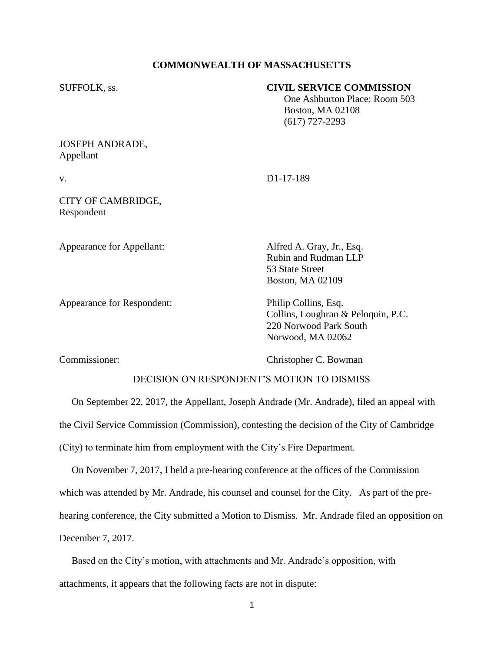## **COMMONWEALTH OF MASSACHUSETTS**

### SUFFOLK, ss. **CIVIL SERVICE COMMISSION**

 One Ashburton Place: Room 503 Boston, MA 02108 (617) 727-2293

## JOSEPH ANDRADE, Appellant

v. D1-17-189

## CITY OF CAMBRIDGE, Respondent

Appearance for Appellant: Alfred A. Gray, Jr., Esq.

Appearance for Respondent: Philip Collins, Esq.

Rubin and Rudman LLP 53 State Street Boston, MA 02109

Collins, Loughran & Peloquin, P.C. 220 Norwood Park South Norwood, MA 02062

Commissioner: Christopher C. Bowman

# DECISION ON RESPONDENT'S MOTION TO DISMISS

 On September 22, 2017, the Appellant, Joseph Andrade (Mr. Andrade), filed an appeal with the Civil Service Commission (Commission), contesting the decision of the City of Cambridge (City) to terminate him from employment with the City's Fire Department.

 On November 7, 2017, I held a pre-hearing conference at the offices of the Commission which was attended by Mr. Andrade, his counsel and counsel for the City. As part of the prehearing conference, the City submitted a Motion to Dismiss. Mr. Andrade filed an opposition on December 7, 2017.

 Based on the City's motion, with attachments and Mr. Andrade's opposition, with attachments, it appears that the following facts are not in dispute: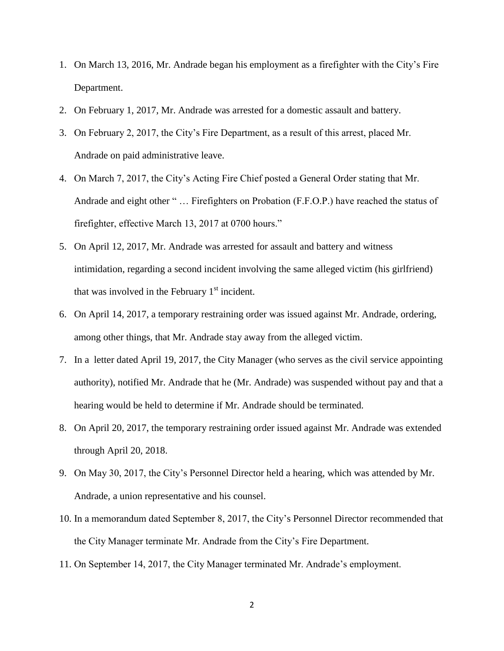- 1. On March 13, 2016, Mr. Andrade began his employment as a firefighter with the City's Fire Department.
- 2. On February 1, 2017, Mr. Andrade was arrested for a domestic assault and battery.
- 3. On February 2, 2017, the City's Fire Department, as a result of this arrest, placed Mr. Andrade on paid administrative leave.
- 4. On March 7, 2017, the City's Acting Fire Chief posted a General Order stating that Mr. Andrade and eight other " … Firefighters on Probation (F.F.O.P.) have reached the status of firefighter, effective March 13, 2017 at 0700 hours."
- 5. On April 12, 2017, Mr. Andrade was arrested for assault and battery and witness intimidation, regarding a second incident involving the same alleged victim (his girlfriend) that was involved in the February  $1<sup>st</sup>$  incident.
- 6. On April 14, 2017, a temporary restraining order was issued against Mr. Andrade, ordering, among other things, that Mr. Andrade stay away from the alleged victim.
- 7. In a letter dated April 19, 2017, the City Manager (who serves as the civil service appointing authority), notified Mr. Andrade that he (Mr. Andrade) was suspended without pay and that a hearing would be held to determine if Mr. Andrade should be terminated.
- 8. On April 20, 2017, the temporary restraining order issued against Mr. Andrade was extended through April 20, 2018.
- 9. On May 30, 2017, the City's Personnel Director held a hearing, which was attended by Mr. Andrade, a union representative and his counsel.
- 10. In a memorandum dated September 8, 2017, the City's Personnel Director recommended that the City Manager terminate Mr. Andrade from the City's Fire Department.
- 11. On September 14, 2017, the City Manager terminated Mr. Andrade's employment.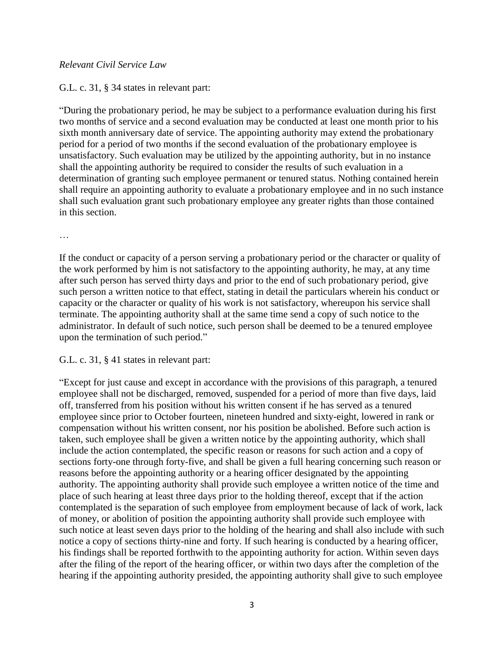## *Relevant Civil Service Law*

# G.L. c. 31, § 34 states in relevant part:

"During the probationary period, he may be subject to a performance evaluation during his first two months of service and a second evaluation may be conducted at least one month prior to his sixth month anniversary date of service. The appointing authority may extend the probationary period for a period of two months if the second evaluation of the probationary employee is unsatisfactory. Such evaluation may be utilized by the appointing authority, but in no instance shall the appointing authority be required to consider the results of such evaluation in a determination of granting such employee permanent or tenured status. Nothing contained herein shall require an appointing authority to evaluate a probationary employee and in no such instance shall such evaluation grant such probationary employee any greater rights than those contained in this section.

…

If the conduct or capacity of a person serving a probationary period or the character or quality of the work performed by him is not satisfactory to the appointing authority, he may, at any time after such person has served thirty days and prior to the end of such probationary period, give such person a written notice to that effect, stating in detail the particulars wherein his conduct or capacity or the character or quality of his work is not satisfactory, whereupon his service shall terminate. The appointing authority shall at the same time send a copy of such notice to the administrator. In default of such notice, such person shall be deemed to be a tenured employee upon the termination of such period."

G.L. c. 31, § 41 states in relevant part:

"Except for just cause and except in accordance with the provisions of this paragraph, a tenured employee shall not be discharged, removed, suspended for a period of more than five days, laid off, transferred from his position without his written consent if he has served as a tenured employee since prior to October fourteen, nineteen hundred and sixty-eight, lowered in rank or compensation without his written consent, nor his position be abolished. Before such action is taken, such employee shall be given a written notice by the appointing authority, which shall include the action contemplated, the specific reason or reasons for such action and a copy of sections forty-one through forty-five, and shall be given a full hearing concerning such reason or reasons before the appointing authority or a hearing officer designated by the appointing authority. The appointing authority shall provide such employee a written notice of the time and place of such hearing at least three days prior to the holding thereof, except that if the action contemplated is the separation of such employee from employment because of lack of work, lack of money, or abolition of position the appointing authority shall provide such employee with such notice at least seven days prior to the holding of the hearing and shall also include with such notice a copy of sections thirty-nine and forty. If such hearing is conducted by a hearing officer, his findings shall be reported forthwith to the appointing authority for action. Within seven days after the filing of the report of the hearing officer, or within two days after the completion of the hearing if the appointing authority presided, the appointing authority shall give to such employee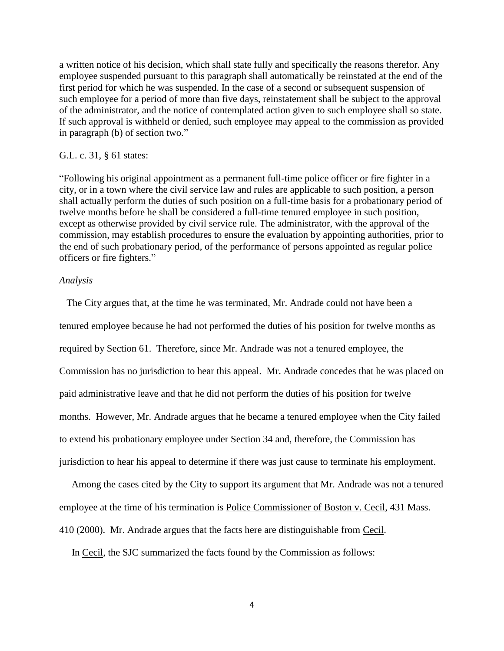a written notice of his decision, which shall state fully and specifically the reasons therefor. Any employee suspended pursuant to this paragraph shall automatically be reinstated at the end of the first period for which he was suspended. In the case of a second or subsequent suspension of such employee for a period of more than five days, reinstatement shall be subject to the approval of the administrator, and the notice of contemplated action given to such employee shall so state. If such approval is withheld or denied, such employee may appeal to the commission as provided in paragraph (b) of section two."

### G.L. c. 31, § 61 states:

"Following his original appointment as a permanent full-time police officer or fire fighter in a city, or in a town where the civil service law and rules are applicable to such position, a person shall actually perform the duties of such position on a full-time basis for a probationary period of twelve months before he shall be considered a full-time tenured employee in such position, except as otherwise provided by civil service rule. The administrator, with the approval of the commission, may establish procedures to ensure the evaluation by appointing authorities, prior to the end of such probationary period, of the performance of persons appointed as regular police officers or fire fighters."

### *Analysis*

 The City argues that, at the time he was terminated, Mr. Andrade could not have been a tenured employee because he had not performed the duties of his position for twelve months as required by Section 61. Therefore, since Mr. Andrade was not a tenured employee, the Commission has no jurisdiction to hear this appeal. Mr. Andrade concedes that he was placed on paid administrative leave and that he did not perform the duties of his position for twelve months. However, Mr. Andrade argues that he became a tenured employee when the City failed to extend his probationary employee under Section 34 and, therefore, the Commission has jurisdiction to hear his appeal to determine if there was just cause to terminate his employment.

 Among the cases cited by the City to support its argument that Mr. Andrade was not a tenured employee at the time of his termination is Police Commissioner of Boston v. Cecil, 431 Mass. 410 (2000). Mr. Andrade argues that the facts here are distinguishable from Cecil.

In Cecil, the SJC summarized the facts found by the Commission as follows:

4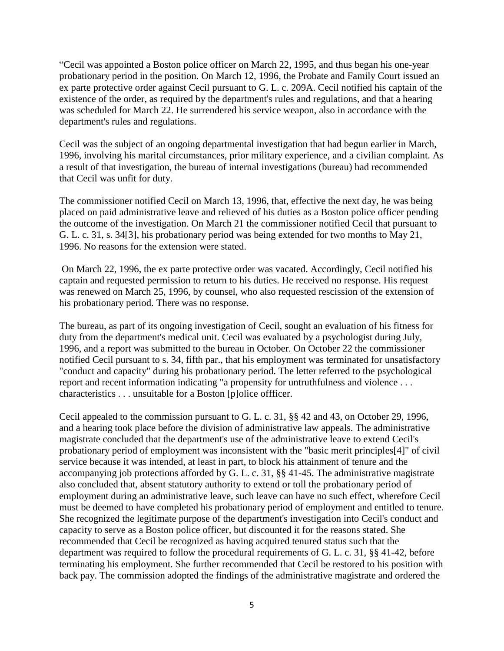"Cecil was appointed a Boston police officer on March 22, 1995, and thus began his one-year probationary period in the position. On March 12, 1996, the Probate and Family Court issued an ex parte protective order against Cecil pursuant to G. L. c. 209A. Cecil notified his captain of the existence of the order, as required by the department's rules and regulations, and that a hearing was scheduled for March 22. He surrendered his service weapon, also in accordance with the department's rules and regulations.

Cecil was the subject of an ongoing departmental investigation that had begun earlier in March, 1996, involving his marital circumstances, prior military experience, and a civilian complaint. As a result of that investigation, the bureau of internal investigations (bureau) had recommended that Cecil was unfit for duty.

The commissioner notified Cecil on March 13, 1996, that, effective the next day, he was being placed on paid administrative leave and relieved of his duties as a Boston police officer pending the outcome of the investigation. On March 21 the commissioner notified Cecil that pursuant to G. L. c. 31, s. 34[3], his probationary period was being extended for two months to May 21, 1996. No reasons for the extension were stated.

On March 22, 1996, the ex parte protective order was vacated. Accordingly, Cecil notified his captain and requested permission to return to his duties. He received no response. His request was renewed on March 25, 1996, by counsel, who also requested rescission of the extension of his probationary period. There was no response.

The bureau, as part of its ongoing investigation of Cecil, sought an evaluation of his fitness for duty from the department's medical unit. Cecil was evaluated by a psychologist during July, 1996, and a report was submitted to the bureau in October. On October 22 the commissioner notified Cecil pursuant to s. 34, fifth par., that his employment was terminated for unsatisfactory "conduct and capacity" during his probationary period. The letter referred to the psychological report and recent information indicating "a propensity for untruthfulness and violence . . . characteristics . . . unsuitable for a Boston [p]olice offficer.

Cecil appealed to the commission pursuant to G. L. c. 31, §§ 42 and 43, on October 29, 1996, and a hearing took place before the division of administrative law appeals. The administrative magistrate concluded that the department's use of the administrative leave to extend Cecil's probationary period of employment was inconsistent with the "basic merit principles[4]" of civil service because it was intended, at least in part, to block his attainment of tenure and the accompanying job protections afforded by G. L. c. 31, §§ 41-45. The administrative magistrate also concluded that, absent statutory authority to extend or toll the probationary period of employment during an administrative leave, such leave can have no such effect, wherefore Cecil must be deemed to have completed his probationary period of employment and entitled to tenure. She recognized the legitimate purpose of the department's investigation into Cecil's conduct and capacity to serve as a Boston police officer, but discounted it for the reasons stated. She recommended that Cecil be recognized as having acquired tenured status such that the department was required to follow the procedural requirements of G. L. c. 31, §§ 41-42, before terminating his employment. She further recommended that Cecil be restored to his position with back pay. The commission adopted the findings of the administrative magistrate and ordered the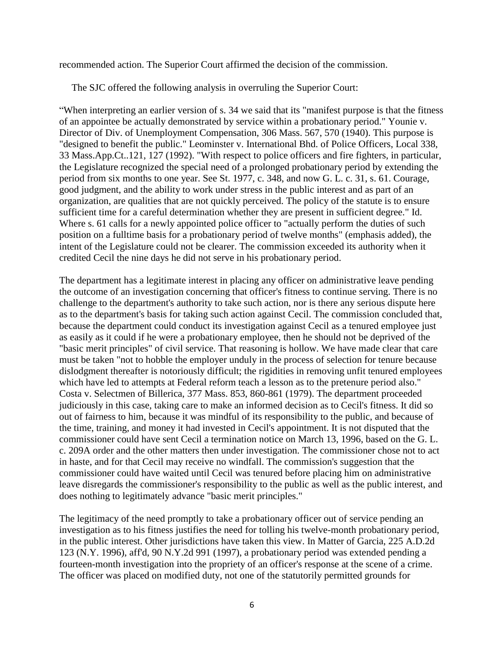recommended action. The Superior Court affirmed the decision of the commission.

The SJC offered the following analysis in overruling the Superior Court:

"When interpreting an earlier version of s. 34 we said that its "manifest purpose is that the fitness of an appointee be actually demonstrated by service within a probationary period." Younie v. Director of Div. of Unemployment Compensation, 306 Mass. 567, 570 (1940). This purpose is "designed to benefit the public." Leominster v. International Bhd. of Police Officers, Local 338, 33 Mass.App.Ct..121, 127 (1992). "With respect to police officers and fire fighters, in particular, the Legislature recognized the special need of a prolonged probationary period by extending the period from six months to one year. See St. 1977, c. 348, and now G. L. c. 31, s. 61. Courage, good judgment, and the ability to work under stress in the public interest and as part of an organization, are qualities that are not quickly perceived. The policy of the statute is to ensure sufficient time for a careful determination whether they are present in sufficient degree." Id. Where s. 61 calls for a newly appointed police officer to "actually perform the duties of such position on a fulltime basis for a probationary period of twelve months" (emphasis added), the intent of the Legislature could not be clearer. The commission exceeded its authority when it credited Cecil the nine days he did not serve in his probationary period.

The department has a legitimate interest in placing any officer on administrative leave pending the outcome of an investigation concerning that officer's fitness to continue serving. There is no challenge to the department's authority to take such action, nor is there any serious dispute here as to the department's basis for taking such action against Cecil. The commission concluded that, because the department could conduct its investigation against Cecil as a tenured employee just as easily as it could if he were a probationary employee, then he should not be deprived of the "basic merit principles" of civil service. That reasoning is hollow. We have made clear that care must be taken "not to hobble the employer unduly in the process of selection for tenure because dislodgment thereafter is notoriously difficult; the rigidities in removing unfit tenured employees which have led to attempts at Federal reform teach a lesson as to the pretenure period also." Costa v. Selectmen of Billerica, 377 Mass. 853, 860-861 (1979). The department proceeded judiciously in this case, taking care to make an informed decision as to Cecil's fitness. It did so out of fairness to him, because it was mindful of its responsibility to the public, and because of the time, training, and money it had invested in Cecil's appointment. It is not disputed that the commissioner could have sent Cecil a termination notice on March 13, 1996, based on the G. L. c. 209A order and the other matters then under investigation. The commissioner chose not to act in haste, and for that Cecil may receive no windfall. The commission's suggestion that the commissioner could have waited until Cecil was tenured before placing him on administrative leave disregards the commissioner's responsibility to the public as well as the public interest, and does nothing to legitimately advance "basic merit principles."

The legitimacy of the need promptly to take a probationary officer out of service pending an investigation as to his fitness justifies the need for tolling his twelve-month probationary period, in the public interest. Other jurisdictions have taken this view. In Matter of Garcia, 225 A.D.2d 123 (N.Y. 1996), aff'd, 90 N.Y.2d 991 (1997), a probationary period was extended pending a fourteen-month investigation into the propriety of an officer's response at the scene of a crime. The officer was placed on modified duty, not one of the statutorily permitted grounds for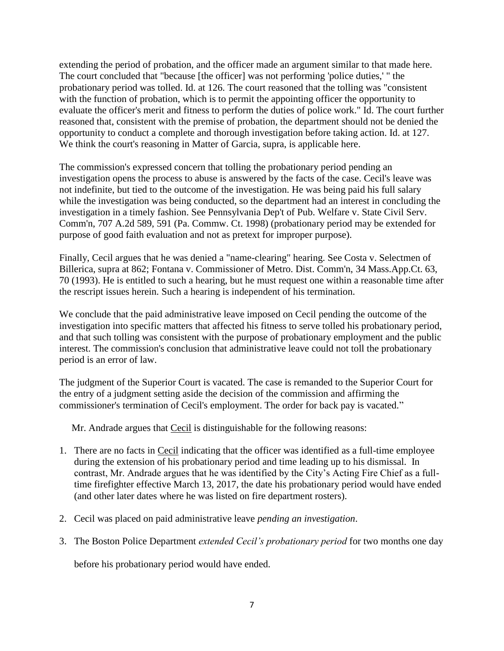extending the period of probation, and the officer made an argument similar to that made here. The court concluded that "because [the officer] was not performing 'police duties,' " the probationary period was tolled. Id. at 126. The court reasoned that the tolling was "consistent with the function of probation, which is to permit the appointing officer the opportunity to evaluate the officer's merit and fitness to perform the duties of police work." Id. The court further reasoned that, consistent with the premise of probation, the department should not be denied the opportunity to conduct a complete and thorough investigation before taking action. Id. at 127. We think the court's reasoning in Matter of Garcia, supra, is applicable here.

The commission's expressed concern that tolling the probationary period pending an investigation opens the process to abuse is answered by the facts of the case. Cecil's leave was not indefinite, but tied to the outcome of the investigation. He was being paid his full salary while the investigation was being conducted, so the department had an interest in concluding the investigation in a timely fashion. See Pennsylvania Dep't of Pub. Welfare v. State Civil Serv. Comm'n, 707 A.2d 589, 591 (Pa. Commw. Ct. 1998) (probationary period may be extended for purpose of good faith evaluation and not as pretext for improper purpose).

Finally, Cecil argues that he was denied a "name-clearing" hearing. See Costa v. Selectmen of Billerica, supra at 862; Fontana v. Commissioner of Metro. Dist. Comm'n, 34 Mass.App.Ct. 63, 70 (1993). He is entitled to such a hearing, but he must request one within a reasonable time after the rescript issues herein. Such a hearing is independent of his termination.

We conclude that the paid administrative leave imposed on Cecil pending the outcome of the investigation into specific matters that affected his fitness to serve tolled his probationary period, and that such tolling was consistent with the purpose of probationary employment and the public interest. The commission's conclusion that administrative leave could not toll the probationary period is an error of law.

The judgment of the Superior Court is vacated. The case is remanded to the Superior Court for the entry of a judgment setting aside the decision of the commission and affirming the commissioner's termination of Cecil's employment. The order for back pay is vacated."

Mr. Andrade argues that Cecil is distinguishable for the following reasons:

- 1. There are no facts in Cecil indicating that the officer was identified as a full-time employee during the extension of his probationary period and time leading up to his dismissal. In contrast, Mr. Andrade argues that he was identified by the City's Acting Fire Chief as a fulltime firefighter effective March 13, 2017, the date his probationary period would have ended (and other later dates where he was listed on fire department rosters).
- 2. Cecil was placed on paid administrative leave *pending an investigation*.
- 3. The Boston Police Department *extended Cecil's probationary period* for two months one day

before his probationary period would have ended.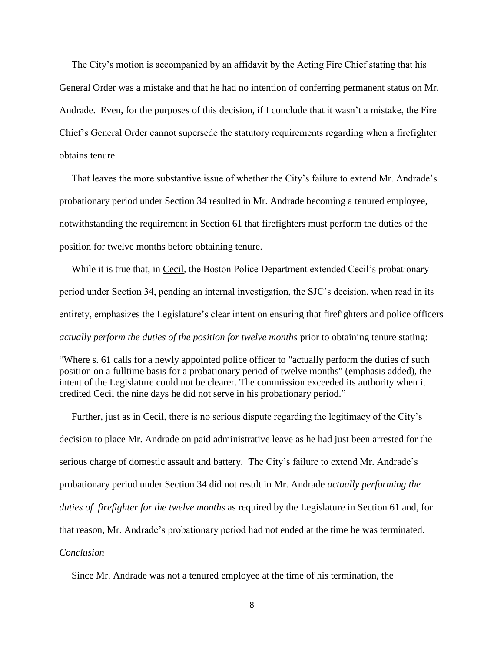The City's motion is accompanied by an affidavit by the Acting Fire Chief stating that his General Order was a mistake and that he had no intention of conferring permanent status on Mr. Andrade. Even, for the purposes of this decision, if I conclude that it wasn't a mistake, the Fire Chief's General Order cannot supersede the statutory requirements regarding when a firefighter obtains tenure.

 That leaves the more substantive issue of whether the City's failure to extend Mr. Andrade's probationary period under Section 34 resulted in Mr. Andrade becoming a tenured employee, notwithstanding the requirement in Section 61 that firefighters must perform the duties of the position for twelve months before obtaining tenure.

 While it is true that, in Cecil, the Boston Police Department extended Cecil's probationary period under Section 34, pending an internal investigation, the SJC's decision, when read in its entirety, emphasizes the Legislature's clear intent on ensuring that firefighters and police officers *actually perform the duties of the position for twelve months* prior to obtaining tenure stating:

"Where s. 61 calls for a newly appointed police officer to "actually perform the duties of such position on a fulltime basis for a probationary period of twelve months" (emphasis added), the intent of the Legislature could not be clearer. The commission exceeded its authority when it credited Cecil the nine days he did not serve in his probationary period."

 Further, just as in Cecil, there is no serious dispute regarding the legitimacy of the City's decision to place Mr. Andrade on paid administrative leave as he had just been arrested for the serious charge of domestic assault and battery. The City's failure to extend Mr. Andrade's probationary period under Section 34 did not result in Mr. Andrade *actually performing the duties of firefighter for the twelve months* as required by the Legislature in Section 61 and, for that reason, Mr. Andrade's probationary period had not ended at the time he was terminated. *Conclusion* 

Since Mr. Andrade was not a tenured employee at the time of his termination, the